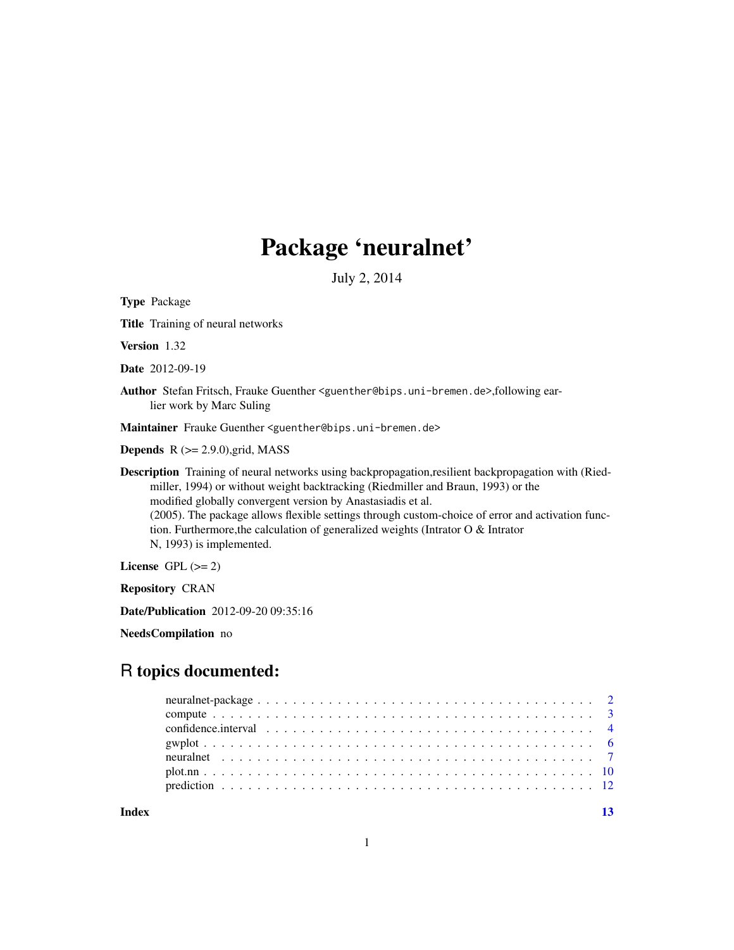# Package 'neuralnet'

July 2, 2014

<span id="page-0-0"></span>Type Package

Title Training of neural networks

Version 1.32

Date 2012-09-19

Author Stefan Fritsch, Frauke Guenther <guenther@bips.uni-bremen.de>,following earlier work by Marc Suling

Maintainer Frauke Guenther <guenther@bips.uni-bremen.de>

**Depends**  $R$  ( $>= 2.9.0$ ), grid, MASS

Description Training of neural networks using backpropagation,resilient backpropagation with (Riedmiller, 1994) or without weight backtracking (Riedmiller and Braun, 1993) or the modified globally convergent version by Anastasiadis et al. (2005). The package allows flexible settings through custom-choice of error and activation function. Furthermore,the calculation of generalized weights (Intrator O & Intrator N, 1993) is implemented.

License GPL  $(>= 2)$ 

Repository CRAN

Date/Publication 2012-09-20 09:35:16

NeedsCompilation no

# R topics documented:

**Index** [13](#page-12-0)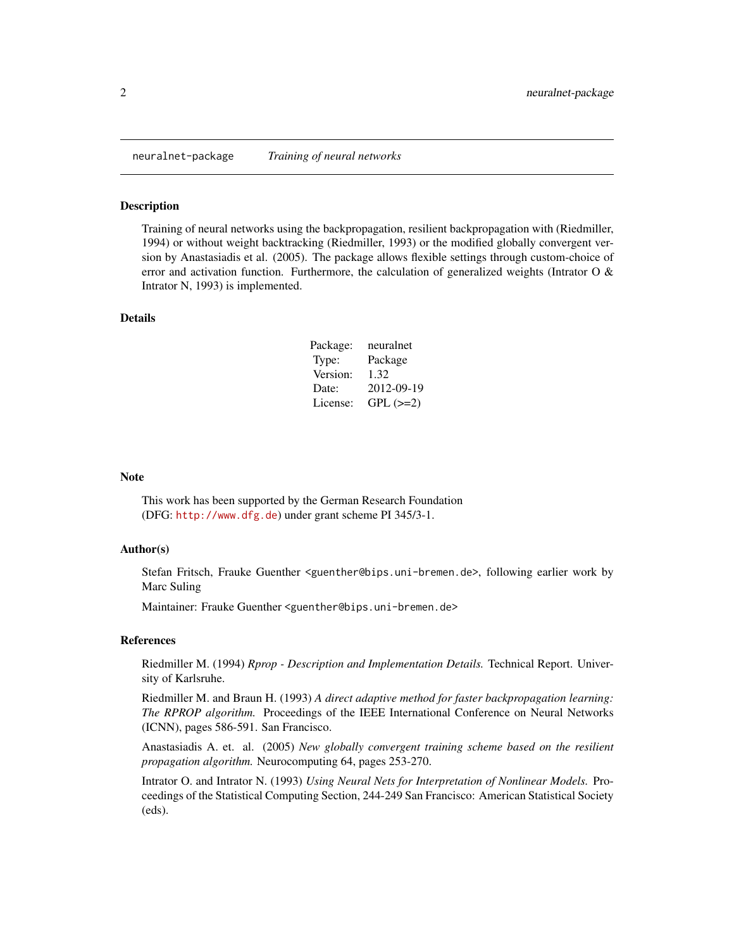<span id="page-1-0"></span>

#### Description

Training of neural networks using the backpropagation, resilient backpropagation with (Riedmiller, 1994) or without weight backtracking (Riedmiller, 1993) or the modified globally convergent version by Anastasiadis et al. (2005). The package allows flexible settings through custom-choice of error and activation function. Furthermore, the calculation of generalized weights (Intrator O  $\&$ Intrator N, 1993) is implemented.

#### Details

| Package: | neuralnet  |
|----------|------------|
| Type:    | Package    |
| Version: | 1.32       |
| Date:    | 2012-09-19 |
| License: | $GPL (=2)$ |

#### Note

This work has been supported by the German Research Foundation (DFG: <http://www.dfg.de>) under grant scheme PI 345/3-1.

#### Author(s)

Stefan Fritsch, Frauke Guenther <guenther@bips.uni-bremen.de>, following earlier work by Marc Suling

Maintainer: Frauke Guenther <guenther@bips.uni-bremen.de>

# References

Riedmiller M. (1994) *Rprop - Description and Implementation Details.* Technical Report. University of Karlsruhe.

Riedmiller M. and Braun H. (1993) *A direct adaptive method for faster backpropagation learning: The RPROP algorithm.* Proceedings of the IEEE International Conference on Neural Networks (ICNN), pages 586-591. San Francisco.

Anastasiadis A. et. al. (2005) *New globally convergent training scheme based on the resilient propagation algorithm.* Neurocomputing 64, pages 253-270.

Intrator O. and Intrator N. (1993) *Using Neural Nets for Interpretation of Nonlinear Models.* Proceedings of the Statistical Computing Section, 244-249 San Francisco: American Statistical Society (eds).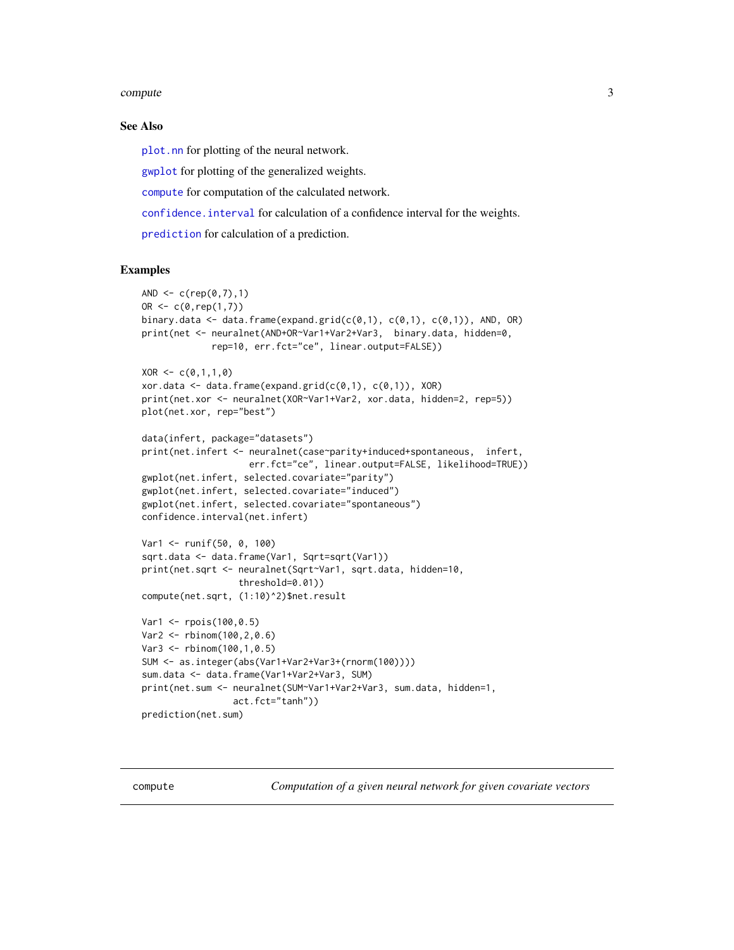#### <span id="page-2-0"></span>compute 3

#### See Also

[plot.nn](#page-9-1) for plotting of the neural network.

[gwplot](#page-5-1) for plotting of the generalized weights.

[compute](#page-2-1) for computation of the calculated network.

[confidence.interval](#page-3-1) for calculation of a confidence interval for the weights.

[prediction](#page-11-1) for calculation of a prediction.

# Examples

```
AND \leq -c (rep(0,7),1)
OR < -c(0, rep(1,7))binary.data \leq data.frame(expand.grid(c(0,1), c(0,1), c(0,1)), AND, OR)
print(net <- neuralnet(AND+OR~Var1+Var2+Var3, binary.data, hidden=0,
             rep=10, err.fct="ce", linear.output=FALSE))
XOR \leftarrow c(0,1,1,0)xor.data \leq data.frame(expand.grid(c(0,1), c(0,1)), XOR)
print(net.xor <- neuralnet(XOR~Var1+Var2, xor.data, hidden=2, rep=5))
plot(net.xor, rep="best")
data(infert, package="datasets")
print(net.infert <- neuralnet(case~parity+induced+spontaneous, infert,
                    err.fct="ce", linear.output=FALSE, likelihood=TRUE))
gwplot(net.infert, selected.covariate="parity")
gwplot(net.infert, selected.covariate="induced")
gwplot(net.infert, selected.covariate="spontaneous")
confidence.interval(net.infert)
Var1 <- runif(50, 0, 100)
sqrt.data <- data.frame(Var1, Sqrt=sqrt(Var1))
print(net.sqrt <- neuralnet(Sqrt~Var1, sqrt.data, hidden=10,
                  threshold=0.01))
compute(net.sqrt, (1:10)^2)$net.result
Var1 <- rpois(100,0.5)
Var2 <- rbinom(100,2,0.6)
Var3 <- rbinom(100,1,0.5)
SUM <- as.integer(abs(Var1+Var2+Var3+(rnorm(100))))
sum.data <- data.frame(Var1+Var2+Var3, SUM)
print(net.sum <- neuralnet(SUM~Var1+Var2+Var3, sum.data, hidden=1,
                 act.fct="tanh"))
prediction(net.sum)
```
<span id="page-2-1"></span>compute *Computation of a given neural network for given covariate vectors*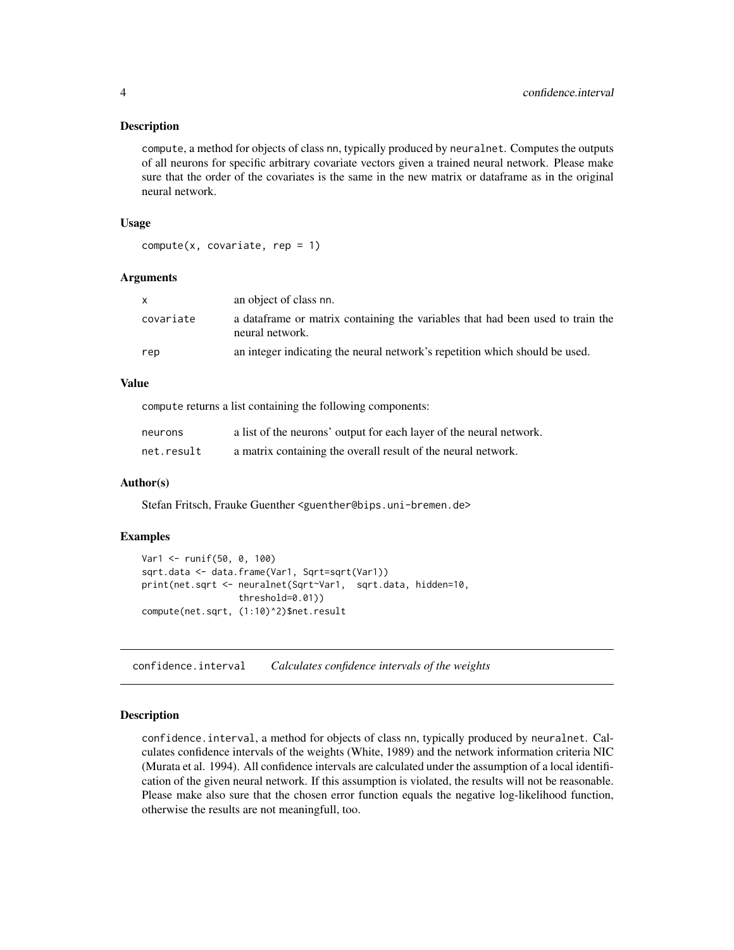#### <span id="page-3-0"></span>**Description**

compute, a method for objects of class nn, typically produced by neuralnet. Computes the outputs of all neurons for specific arbitrary covariate vectors given a trained neural network. Please make sure that the order of the covariates is the same in the new matrix or dataframe as in the original neural network.

#### Usage

```
compute(x, covariate, rep = 1)
```
#### Arguments

| X         | an object of class nn.                                                                             |
|-----------|----------------------------------------------------------------------------------------------------|
| covariate | a data frame or matrix containing the variables that had been used to train the<br>neural network. |
| rep       | an integer indicating the neural network's repetition which should be used.                        |

# Value

compute returns a list containing the following components:

| neurons    | a list of the neurons' output for each layer of the neural network. |
|------------|---------------------------------------------------------------------|
| net.result | a matrix containing the overall result of the neural network.       |

#### Author(s)

Stefan Fritsch, Frauke Guenther <guenther@bips.uni-bremen.de>

#### Examples

```
Var1 <- runif(50, 0, 100)
sqrt.data <- data.frame(Var1, Sqrt=sqrt(Var1))
print(net.sqrt <- neuralnet(Sqrt~Var1, sqrt.data, hidden=10,
                  threshold=0.01))
compute(net.sqrt, (1:10)^2)$net.result
```
<span id="page-3-1"></span>confidence.interval *Calculates confidence intervals of the weights*

#### Description

confidence.interval, a method for objects of class nn, typically produced by neuralnet. Calculates confidence intervals of the weights (White, 1989) and the network information criteria NIC (Murata et al. 1994). All confidence intervals are calculated under the assumption of a local identification of the given neural network. If this assumption is violated, the results will not be reasonable. Please make also sure that the chosen error function equals the negative log-likelihood function, otherwise the results are not meaningfull, too.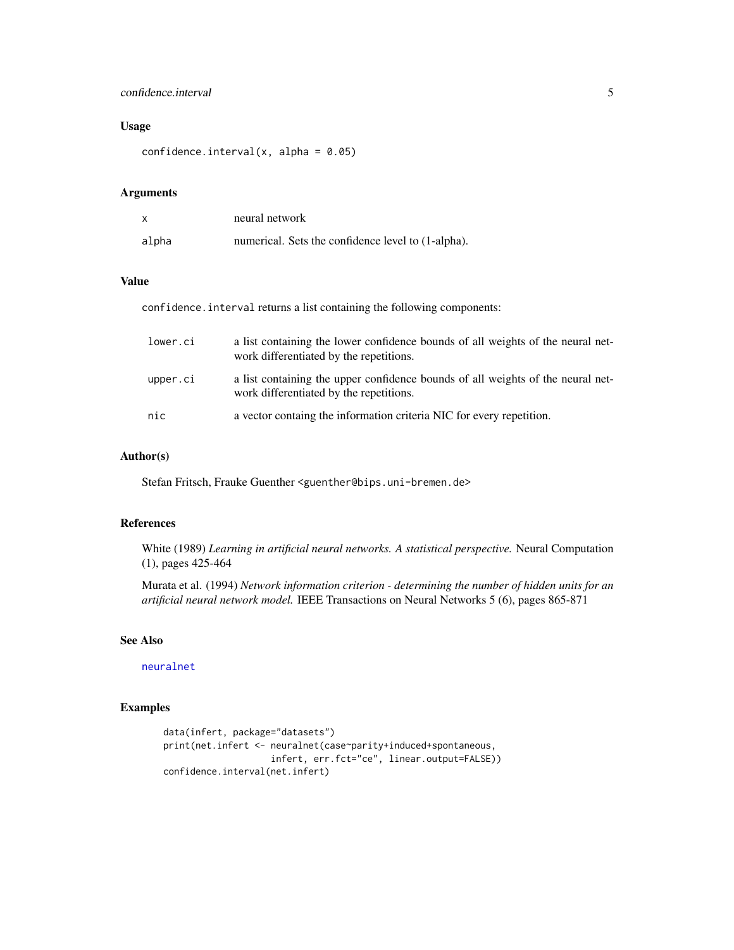# <span id="page-4-0"></span>confidence.interval 5

# Usage

```
confidence.interval(x, alpha = 0.05)
```
### Arguments

|       | neural network                                        |
|-------|-------------------------------------------------------|
| alpha | numerical. Sets the confidence level to $(1$ -alpha). |

#### Value

confidence.interval returns a list containing the following components:

| lower.ci | a list containing the lower confidence bounds of all weights of the neural net-<br>work differentiated by the repetitions. |
|----------|----------------------------------------------------------------------------------------------------------------------------|
| upper.ci | a list containing the upper confidence bounds of all weights of the neural net-<br>work differentiated by the repetitions. |
| nic      | a vector containg the information criteria NIC for every repetition.                                                       |

### Author(s)

Stefan Fritsch, Frauke Guenther <guenther@bips.uni-bremen.de>

#### References

White (1989) *Learning in artificial neural networks. A statistical perspective.* Neural Computation (1), pages 425-464

Murata et al. (1994) *Network information criterion - determining the number of hidden units for an artificial neural network model.* IEEE Transactions on Neural Networks 5 (6), pages 865-871

# See Also

[neuralnet](#page-6-1)

# Examples

```
data(infert, package="datasets")
print(net.infert <- neuralnet(case~parity+induced+spontaneous,
                    infert, err.fct="ce", linear.output=FALSE))
confidence.interval(net.infert)
```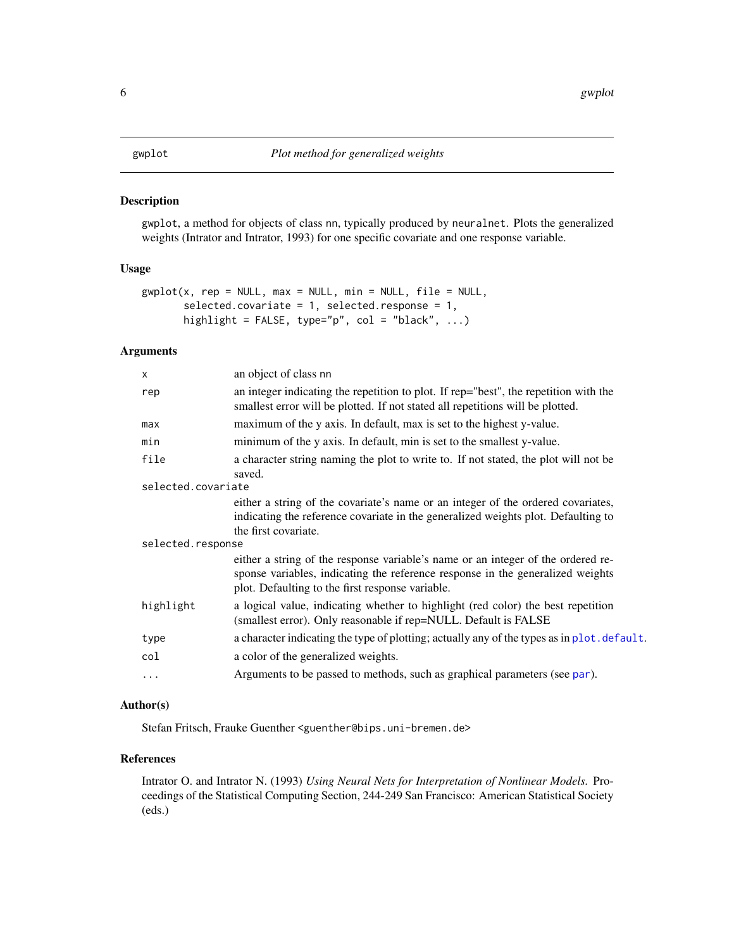#### <span id="page-5-1"></span><span id="page-5-0"></span>Description

gwplot, a method for objects of class nn, typically produced by neuralnet. Plots the generalized weights (Intrator and Intrator, 1993) for one specific covariate and one response variable.

#### Usage

```
gwplot(x, rep = NULL, max = NULL, min = NULL, file = NULL,selected.covariate = 1, selected.response = 1,
      highlight = FALSE, type="p", col = "black", ...)
```
# Arguments

| $\mathsf{x}$       | an object of class nn                                                                                                                                                                                                  |  |  |  |  |  |
|--------------------|------------------------------------------------------------------------------------------------------------------------------------------------------------------------------------------------------------------------|--|--|--|--|--|
| rep                | an integer indicating the repetition to plot. If rep="best", the repetition with the<br>smallest error will be plotted. If not stated all repetitions will be plotted.                                                 |  |  |  |  |  |
| max                | maximum of the y axis. In default, max is set to the highest y-value.                                                                                                                                                  |  |  |  |  |  |
| min                | minimum of the y axis. In default, min is set to the smallest y-value.                                                                                                                                                 |  |  |  |  |  |
| file               | a character string naming the plot to write to. If not stated, the plot will not be<br>saved.                                                                                                                          |  |  |  |  |  |
| selected.covariate |                                                                                                                                                                                                                        |  |  |  |  |  |
|                    | either a string of the covariate's name or an integer of the ordered covariates,<br>indicating the reference covariate in the generalized weights plot. Defaulting to<br>the first covariate.                          |  |  |  |  |  |
|                    | selected.response                                                                                                                                                                                                      |  |  |  |  |  |
|                    | either a string of the response variable's name or an integer of the ordered re-<br>sponse variables, indicating the reference response in the generalized weights<br>plot. Defaulting to the first response variable. |  |  |  |  |  |
| highlight          | a logical value, indicating whether to highlight (red color) the best repetition<br>(smallest error). Only reasonable if rep=NULL. Default is FALSE                                                                    |  |  |  |  |  |
| type               | a character indicating the type of plotting; actually any of the types as in plot. default.                                                                                                                            |  |  |  |  |  |
| col                | a color of the generalized weights.                                                                                                                                                                                    |  |  |  |  |  |
| .                  | Arguments to be passed to methods, such as graphical parameters (see par).                                                                                                                                             |  |  |  |  |  |
|                    |                                                                                                                                                                                                                        |  |  |  |  |  |

# Author(s)

Stefan Fritsch, Frauke Guenther <guenther@bips.uni-bremen.de>

# References

Intrator O. and Intrator N. (1993) *Using Neural Nets for Interpretation of Nonlinear Models.* Proceedings of the Statistical Computing Section, 244-249 San Francisco: American Statistical Society (eds.)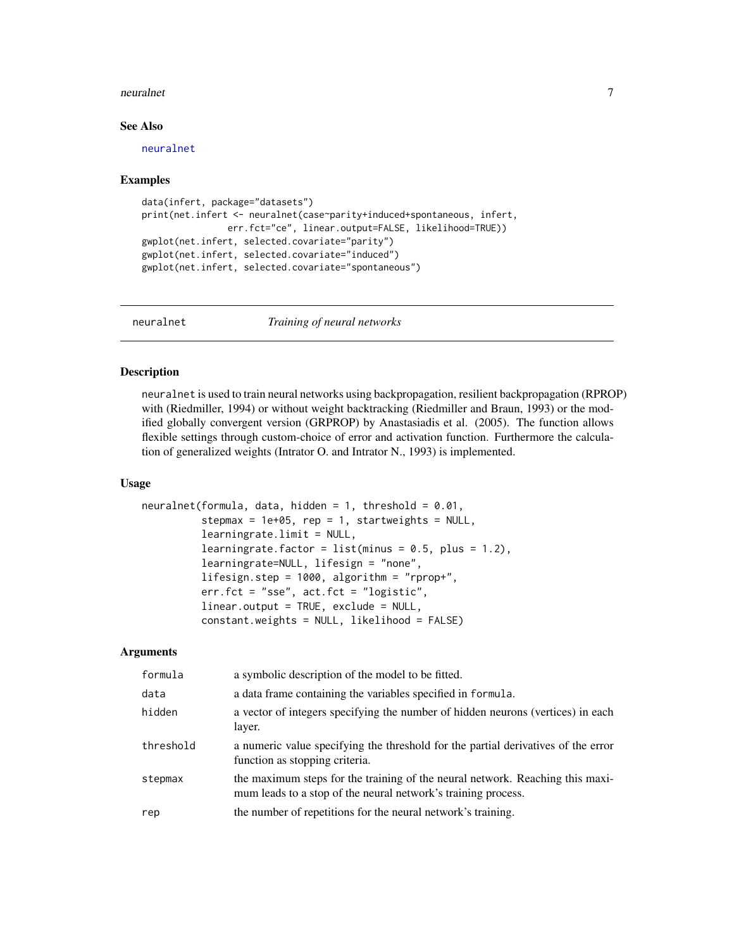#### <span id="page-6-0"></span>neuralnet 7

#### See Also

[neuralnet](#page-6-1)

#### Examples

```
data(infert, package="datasets")
print(net.infert <- neuralnet(case~parity+induced+spontaneous, infert,
                err.fct="ce", linear.output=FALSE, likelihood=TRUE))
gwplot(net.infert, selected.covariate="parity")
gwplot(net.infert, selected.covariate="induced")
gwplot(net.infert, selected.covariate="spontaneous")
```
<span id="page-6-1"></span>

neuralnet *Training of neural networks*

#### Description

neuralnet is used to train neural networks using backpropagation, resilient backpropagation (RPROP) with (Riedmiller, 1994) or without weight backtracking (Riedmiller and Braun, 1993) or the modified globally convergent version (GRPROP) by Anastasiadis et al. (2005). The function allows flexible settings through custom-choice of error and activation function. Furthermore the calculation of generalized weights (Intrator O. and Intrator N., 1993) is implemented.

#### Usage

```
neuralnet(formula, data, hidden = 1, threshold = 0.01,
          stepmax = 1e+05, rep = 1, startweights = NULL,
          learningrate.limit = NULL,
          learningrate.factor = list(minus = 0.5, plus = 1.2),
          learningrate=NULL, lifesign = "none",
          lifesign.step = 1000, algorithm = "rprop+",
          err.fct = "sse", act.fct = "logistic",
          linear.output = TRUE, exclude = NULL,
          constant.weights = NULL, likelihood = FALSE)
```
#### Arguments

| formula   | a symbolic description of the model to be fitted.                                                                                              |
|-----------|------------------------------------------------------------------------------------------------------------------------------------------------|
| data      | a data frame containing the variables specified in formula.                                                                                    |
| hidden    | a vector of integers specifying the number of hidden neurons (vertices) in each<br>layer.                                                      |
| threshold | a numeric value specifying the threshold for the partial derivatives of the error<br>function as stopping criteria.                            |
| stepmax   | the maximum steps for the training of the neural network. Reaching this maxi-<br>mum leads to a stop of the neural network's training process. |
| rep       | the number of repetitions for the neural network's training.                                                                                   |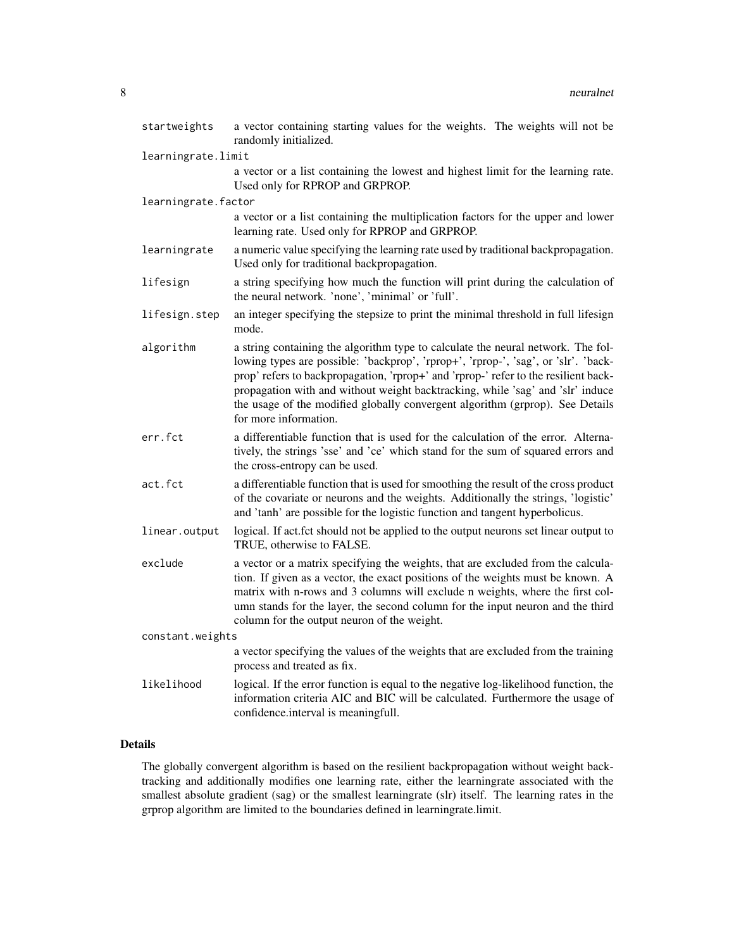| startweights        | a vector containing starting values for the weights. The weights will not be<br>randomly initialized.                                                                                                                                                                                                                                                                                                                                                     |
|---------------------|-----------------------------------------------------------------------------------------------------------------------------------------------------------------------------------------------------------------------------------------------------------------------------------------------------------------------------------------------------------------------------------------------------------------------------------------------------------|
| learningrate.limit  |                                                                                                                                                                                                                                                                                                                                                                                                                                                           |
|                     | a vector or a list containing the lowest and highest limit for the learning rate.<br>Used only for RPROP and GRPROP.                                                                                                                                                                                                                                                                                                                                      |
| learningrate.factor |                                                                                                                                                                                                                                                                                                                                                                                                                                                           |
|                     | a vector or a list containing the multiplication factors for the upper and lower<br>learning rate. Used only for RPROP and GRPROP.                                                                                                                                                                                                                                                                                                                        |
| learningrate        | a numeric value specifying the learning rate used by traditional backpropagation.<br>Used only for traditional backpropagation.                                                                                                                                                                                                                                                                                                                           |
| lifesign            | a string specifying how much the function will print during the calculation of<br>the neural network. 'none', 'minimal' or 'full'.                                                                                                                                                                                                                                                                                                                        |
| lifesign.step       | an integer specifying the stepsize to print the minimal threshold in full lifesign<br>mode.                                                                                                                                                                                                                                                                                                                                                               |
| algorithm           | a string containing the algorithm type to calculate the neural network. The fol-<br>lowing types are possible: 'backprop', 'rprop+', 'rprop-', 'sag', or 'slr'. 'back-<br>prop' refers to backpropagation, 'rprop+' and 'rprop-' refer to the resilient back-<br>propagation with and without weight backtracking, while 'sag' and 'slr' induce<br>the usage of the modified globally convergent algorithm (grprop). See Details<br>for more information. |
| err.fct             | a differentiable function that is used for the calculation of the error. Alterna-<br>tively, the strings 'sse' and 'ce' which stand for the sum of squared errors and<br>the cross-entropy can be used.                                                                                                                                                                                                                                                   |
| act.fct             | a differentiable function that is used for smoothing the result of the cross product<br>of the covariate or neurons and the weights. Additionally the strings, 'logistic'<br>and 'tanh' are possible for the logistic function and tangent hyperbolicus.                                                                                                                                                                                                  |
| linear.output       | logical. If act.fct should not be applied to the output neurons set linear output to<br>TRUE, otherwise to FALSE.                                                                                                                                                                                                                                                                                                                                         |
| exclude             | a vector or a matrix specifying the weights, that are excluded from the calcula-<br>tion. If given as a vector, the exact positions of the weights must be known. A<br>matrix with n-rows and 3 columns will exclude n weights, where the first col-<br>umn stands for the layer, the second column for the input neuron and the third<br>column for the output neuron of the weight.                                                                     |
| constant.weights    |                                                                                                                                                                                                                                                                                                                                                                                                                                                           |
|                     | a vector specifying the values of the weights that are excluded from the training<br>process and treated as fix.                                                                                                                                                                                                                                                                                                                                          |
| likelihood          | logical. If the error function is equal to the negative log-likelihood function, the<br>information criteria AIC and BIC will be calculated. Furthermore the usage of<br>confidence.interval is meaningfull.                                                                                                                                                                                                                                              |

# Details

The globally convergent algorithm is based on the resilient backpropagation without weight backtracking and additionally modifies one learning rate, either the learningrate associated with the smallest absolute gradient (sag) or the smallest learningrate (slr) itself. The learning rates in the grprop algorithm are limited to the boundaries defined in learningrate.limit.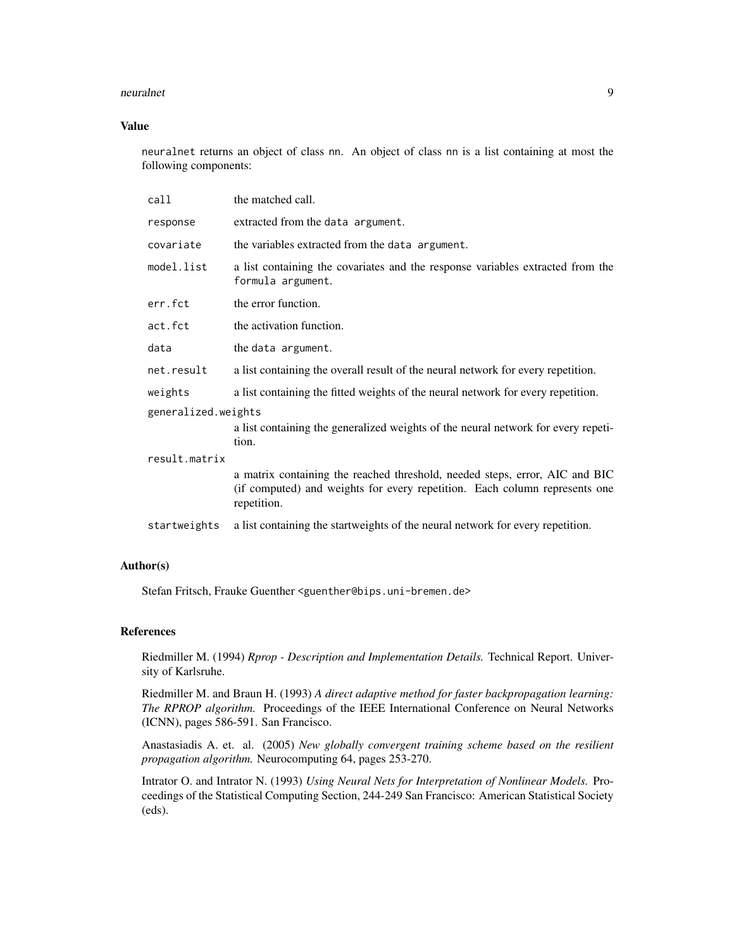#### neuralnet 9

### Value

neuralnet returns an object of class nn. An object of class nn is a list containing at most the following components:

| call                | the matched call.                                                                                                                                                        |
|---------------------|--------------------------------------------------------------------------------------------------------------------------------------------------------------------------|
| response            | extracted from the data argument.                                                                                                                                        |
| covariate           | the variables extracted from the data argument.                                                                                                                          |
| model.list          | a list containing the covariates and the response variables extracted from the<br>formula argument.                                                                      |
| err.fct             | the error function.                                                                                                                                                      |
| act.fct             | the activation function.                                                                                                                                                 |
| data                | the data argument.                                                                                                                                                       |
| net.result          | a list containing the overall result of the neural network for every repetition.                                                                                         |
| weights             | a list containing the fitted weights of the neural network for every repetition.                                                                                         |
| generalized.weights |                                                                                                                                                                          |
|                     | a list containing the generalized weights of the neural network for every repeti-<br>tion.                                                                               |
| result.matrix       |                                                                                                                                                                          |
|                     | a matrix containing the reached threshold, needed steps, error, AIC and BIC<br>(if computed) and weights for every repetition. Each column represents one<br>repetition. |
| startweights        | a list containing the startweights of the neural network for every repetition.                                                                                           |

### Author(s)

Stefan Fritsch, Frauke Guenther <guenther@bips.uni-bremen.de>

#### References

Riedmiller M. (1994) *Rprop - Description and Implementation Details.* Technical Report. University of Karlsruhe.

Riedmiller M. and Braun H. (1993) *A direct adaptive method for faster backpropagation learning: The RPROP algorithm.* Proceedings of the IEEE International Conference on Neural Networks (ICNN), pages 586-591. San Francisco.

Anastasiadis A. et. al. (2005) *New globally convergent training scheme based on the resilient propagation algorithm.* Neurocomputing 64, pages 253-270.

Intrator O. and Intrator N. (1993) *Using Neural Nets for Interpretation of Nonlinear Models.* Proceedings of the Statistical Computing Section, 244-249 San Francisco: American Statistical Society (eds).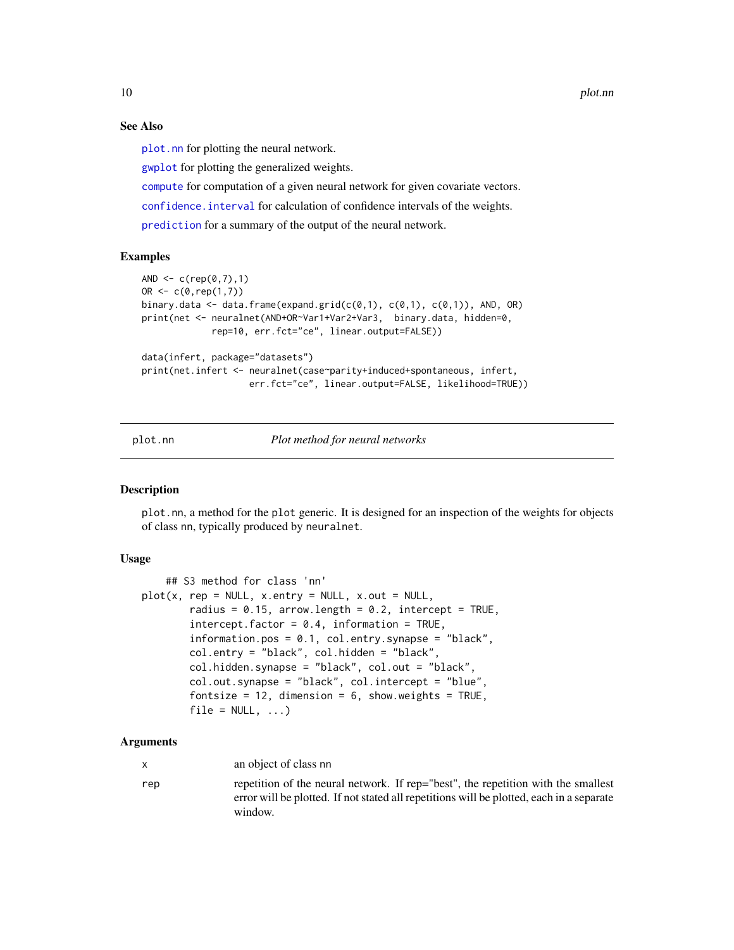10 plot.nn

#### See Also

[plot.nn](#page-9-1) for plotting the neural network.

[gwplot](#page-5-1) for plotting the generalized weights.

[compute](#page-2-1) for computation of a given neural network for given covariate vectors.

[confidence.interval](#page-3-1) for calculation of confidence intervals of the weights.

[prediction](#page-11-1) for a summary of the output of the neural network.

#### Examples

```
AND \leq -c (rep(0,7),1)
OR \leq c(0, rep(1,7))binary.data <- data.frame(expand.grid(c(0,1), c(0,1), c(0,1)), AND, OR)
print(net <- neuralnet(AND+OR~Var1+Var2+Var3, binary.data, hidden=0,
             rep=10, err.fct="ce", linear.output=FALSE))
data(infert, package="datasets")
print(net.infert <- neuralnet(case~parity+induced+spontaneous, infert,
                    err.fct="ce", linear.output=FALSE, likelihood=TRUE))
```
<span id="page-9-1"></span>

plot.nn *Plot method for neural networks*

#### **Description**

plot.nn, a method for the plot generic. It is designed for an inspection of the weights for objects of class nn, typically produced by neuralnet.

# Usage

```
## S3 method for class 'nn'
plot(x, rep = NULL, x.entry = NULL, x.out = NULL,radius = 0.15, arrow.length = 0.2, intercept = TRUE,
        intercept.factor = 0.4, information = TRUE,
        information.pos = 0.1, col.entry.synapse = "black",
       col.entry = "black", col.hidden = "black",
       col.hidden.synapse = "black", col.out = "black",
       col.out.synapse = "black", col.intercept = "blue",
       fontsize = 12, dimension = 6, show.weights = TRUE,
       file = NULL, ...)
```
### Arguments

x an object of class nn

rep repetition of the neural network. If rep="best", the repetition with the smallest error will be plotted. If not stated all repetitions will be plotted, each in a separate window.

<span id="page-9-0"></span>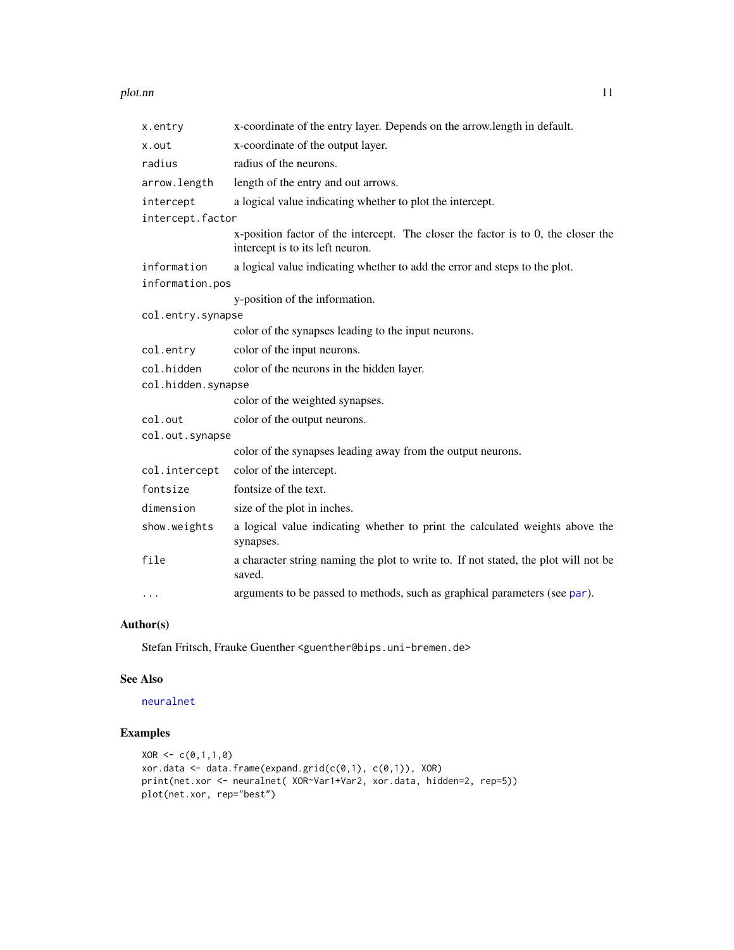#### <span id="page-10-0"></span>plot.nn and the state of the state of the state of the state of the state of the state of the state of the state of the state of the state of the state of the state of the state of the state of the state of the state of th

| x-coordinate of the entry layer. Depends on the arrow.length in default.                                              |  |  |  |  |  |
|-----------------------------------------------------------------------------------------------------------------------|--|--|--|--|--|
| x-coordinate of the output layer.                                                                                     |  |  |  |  |  |
| radius of the neurons.                                                                                                |  |  |  |  |  |
| length of the entry and out arrows.                                                                                   |  |  |  |  |  |
| a logical value indicating whether to plot the intercept.                                                             |  |  |  |  |  |
| intercept.factor                                                                                                      |  |  |  |  |  |
| x-position factor of the intercept. The closer the factor is to 0, the closer the<br>intercept is to its left neuron. |  |  |  |  |  |
| a logical value indicating whether to add the error and steps to the plot.                                            |  |  |  |  |  |
| information.pos                                                                                                       |  |  |  |  |  |
| y-position of the information.                                                                                        |  |  |  |  |  |
| col.entry.synapse                                                                                                     |  |  |  |  |  |
| color of the synapses leading to the input neurons.                                                                   |  |  |  |  |  |
| color of the input neurons.                                                                                           |  |  |  |  |  |
| color of the neurons in the hidden layer.                                                                             |  |  |  |  |  |
| col.hidden.synapse                                                                                                    |  |  |  |  |  |
| color of the weighted synapses.                                                                                       |  |  |  |  |  |
| color of the output neurons.                                                                                          |  |  |  |  |  |
| col.out.synapse                                                                                                       |  |  |  |  |  |
| color of the synapses leading away from the output neurons.                                                           |  |  |  |  |  |
| color of the intercept.                                                                                               |  |  |  |  |  |
| fontsize of the text.                                                                                                 |  |  |  |  |  |
| size of the plot in inches.                                                                                           |  |  |  |  |  |
| a logical value indicating whether to print the calculated weights above the<br>synapses.                             |  |  |  |  |  |
| a character string naming the plot to write to. If not stated, the plot will not be                                   |  |  |  |  |  |
| saved.                                                                                                                |  |  |  |  |  |
|                                                                                                                       |  |  |  |  |  |

# Author(s)

Stefan Fritsch, Frauke Guenther <guenther@bips.uni-bremen.de>

#### See Also

# [neuralnet](#page-6-1)

# Examples

```
XOR < -c(0,1,1,0)xor.data <- data.frame(expand.grid(c(0,1), c(0,1)), XOR)
print(net.xor <- neuralnet( XOR~Var1+Var2, xor.data, hidden=2, rep=5))
plot(net.xor, rep="best")
```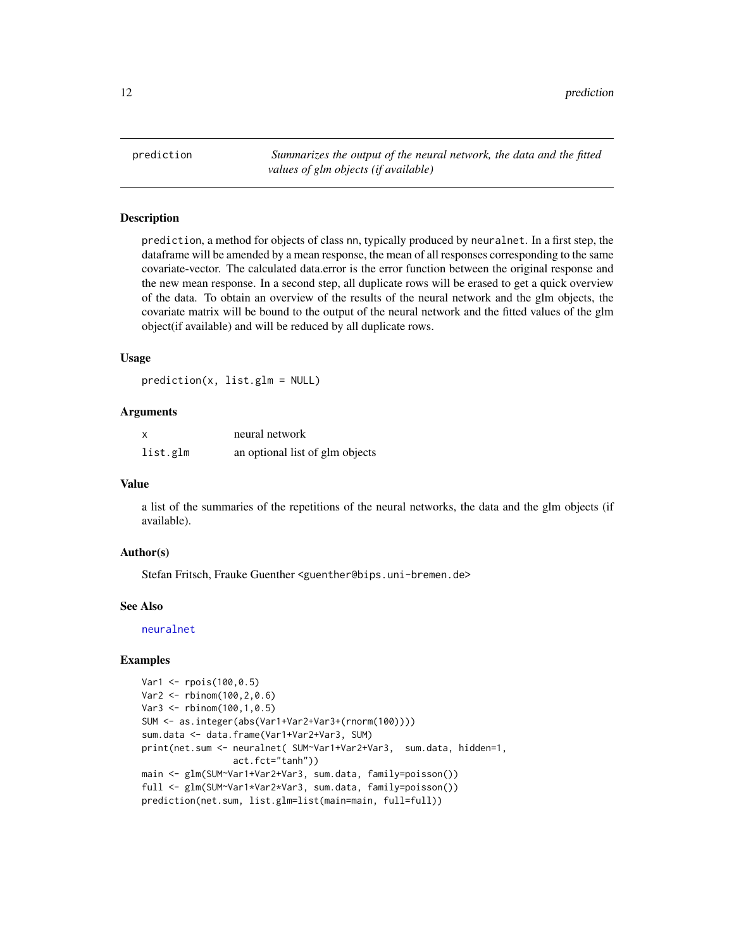<span id="page-11-1"></span><span id="page-11-0"></span>prediction *Summarizes the output of the neural network, the data and the fitted values of glm objects (if available)*

# Description

prediction, a method for objects of class nn, typically produced by neuralnet. In a first step, the dataframe will be amended by a mean response, the mean of all responses corresponding to the same covariate-vector. The calculated data.error is the error function between the original response and the new mean response. In a second step, all duplicate rows will be erased to get a quick overview of the data. To obtain an overview of the results of the neural network and the glm objects, the covariate matrix will be bound to the output of the neural network and the fitted values of the glm object(if available) and will be reduced by all duplicate rows.

#### Usage

prediction(x, list.glm = NULL)

#### Arguments

| X        | neural network                  |
|----------|---------------------------------|
| list.glm | an optional list of glm objects |

#### Value

a list of the summaries of the repetitions of the neural networks, the data and the glm objects (if available).

### Author(s)

Stefan Fritsch, Frauke Guenther <guenther@bips.uni-bremen.de>

#### See Also

[neuralnet](#page-6-1)

#### Examples

```
Var1 <- rpois(100,0.5)
Var2 <- rbinom(100,2,0.6)
Var3 <- rbinom(100,1,0.5)
SUM <- as.integer(abs(Var1+Var2+Var3+(rnorm(100))))
sum.data <- data.frame(Var1+Var2+Var3, SUM)
print(net.sum <- neuralnet( SUM~Var1+Var2+Var3, sum.data, hidden=1,
                 act.fct="tanh"))
main <- glm(SUM~Var1+Var2+Var3, sum.data, family=poisson())
full <- glm(SUM~Var1*Var2*Var3, sum.data, family=poisson())
prediction(net.sum, list.glm=list(main=main, full=full))
```